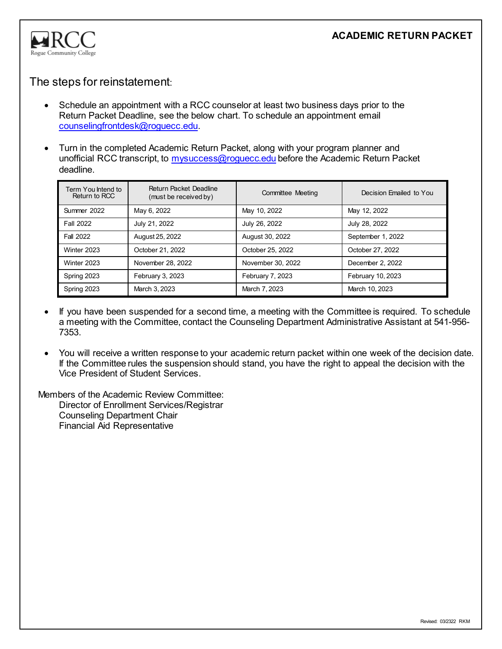

## The steps for reinstatement:

- Schedule an appointment with a RCC counselor at least two business days prior to the Return Packet Deadline, see the below chart. To schedule an appointment email [counselingfrontdesk@roguecc.edu.](mailto:counselingfrontdesk@roguecc.edu)
- Turn in the completed Academic Return Packet, along with your program planner and unofficial RCC transcript, to [mysuccess@roguecc.edu](mailto:mysuccess@roguecc.edu) before the Academic Return Packet deadline.

| Term You Intend to<br>Return to RCC | Return Packet Deadline<br>(must be received by) | <b>Committee Meeting</b> | Decision Emailed to You |
|-------------------------------------|-------------------------------------------------|--------------------------|-------------------------|
| Summer 2022                         | May 6, 2022                                     | May 10, 2022             | May 12, 2022            |
| <b>Fall 2022</b>                    | July 21, 2022                                   | July 26, 2022            | July 28, 2022           |
| Fall 2022                           | August 25, 2022                                 | August 30, 2022          | September 1, 2022       |
| Winter 2023                         | October 21, 2022                                | October 25, 2022         | October 27, 2022        |
| Winter 2023                         | November 28, 2022                               | November 30, 2022        | December 2, 2022        |
| Spring 2023                         | February 3, 2023                                | February 7, 2023         | February 10, 2023       |
| Spring 2023                         | March 3, 2023                                   | March 7, 2023            | March 10, 2023          |

- If you have been suspended for a second time, a meeting with the Committee is required. To schedule a meeting with the Committee, contact the Counseling Department Administrative Assistant at 541-956- 7353.
- You will receive a written response to your academic return packet within one week of the decision date. If the Committee rules the suspension should stand, you have the right to appeal the decision with the Vice President of Student Services.

Members of the Academic Review Committee: Director of Enrollment Services/Registrar Counseling Department Chair Financial Aid Representative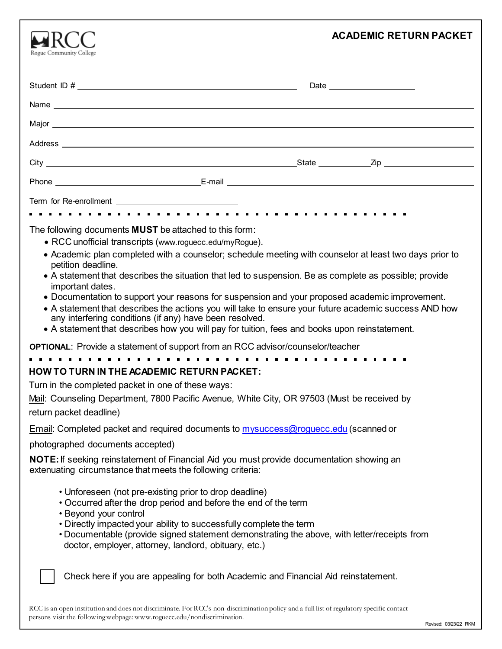| Rogue Community College                                                                                                                                                                                                                                                                                                                                                                                                                                                                                                                                                                                                                                                                                                                                       | <b>ACADEMIC RETURN PACKET</b> |  |  |  |
|---------------------------------------------------------------------------------------------------------------------------------------------------------------------------------------------------------------------------------------------------------------------------------------------------------------------------------------------------------------------------------------------------------------------------------------------------------------------------------------------------------------------------------------------------------------------------------------------------------------------------------------------------------------------------------------------------------------------------------------------------------------|-------------------------------|--|--|--|
|                                                                                                                                                                                                                                                                                                                                                                                                                                                                                                                                                                                                                                                                                                                                                               | Date <u>experience</u>        |  |  |  |
|                                                                                                                                                                                                                                                                                                                                                                                                                                                                                                                                                                                                                                                                                                                                                               |                               |  |  |  |
|                                                                                                                                                                                                                                                                                                                                                                                                                                                                                                                                                                                                                                                                                                                                                               |                               |  |  |  |
|                                                                                                                                                                                                                                                                                                                                                                                                                                                                                                                                                                                                                                                                                                                                                               |                               |  |  |  |
|                                                                                                                                                                                                                                                                                                                                                                                                                                                                                                                                                                                                                                                                                                                                                               |                               |  |  |  |
|                                                                                                                                                                                                                                                                                                                                                                                                                                                                                                                                                                                                                                                                                                                                                               |                               |  |  |  |
|                                                                                                                                                                                                                                                                                                                                                                                                                                                                                                                                                                                                                                                                                                                                                               |                               |  |  |  |
|                                                                                                                                                                                                                                                                                                                                                                                                                                                                                                                                                                                                                                                                                                                                                               |                               |  |  |  |
| The following documents <b>MUST</b> be attached to this form:<br>• RCC unofficial transcripts (www.roguecc.edu/myRogue).<br>• Academic plan completed with a counselor; schedule meeting with counselor at least two days prior to<br>petition deadline.<br>• A statement that describes the situation that led to suspension. Be as complete as possible; provide<br>important dates.<br>• Documentation to support your reasons for suspension and your proposed academic improvement.<br>• A statement that describes the actions you will take to ensure your future academic success AND how<br>any interfering conditions (if any) have been resolved.<br>• A statement that describes how you will pay for tuition, fees and books upon reinstatement. |                               |  |  |  |
| <b>OPTIONAL:</b> Provide a statement of support from an RCC advisor/counselor/teacher                                                                                                                                                                                                                                                                                                                                                                                                                                                                                                                                                                                                                                                                         |                               |  |  |  |
| <b>HOW TO TURN IN THE ACADEMIC RETURN PACKET:</b><br>Turn in the completed packet in one of these ways:<br>Mail: Counseling Department, 7800 Pacific Avenue, White City, OR 97503 (Must be received by<br>return packet deadline)                                                                                                                                                                                                                                                                                                                                                                                                                                                                                                                             |                               |  |  |  |
| Email: Completed packet and required documents to mysuccess@roguecc.edu (scanned or                                                                                                                                                                                                                                                                                                                                                                                                                                                                                                                                                                                                                                                                           |                               |  |  |  |
| photographed documents accepted)                                                                                                                                                                                                                                                                                                                                                                                                                                                                                                                                                                                                                                                                                                                              |                               |  |  |  |
| NOTE: If seeking reinstatement of Financial Aid you must provide documentation showing an<br>extenuating circumstance that meets the following criteria:                                                                                                                                                                                                                                                                                                                                                                                                                                                                                                                                                                                                      |                               |  |  |  |
| • Unforeseen (not pre-existing prior to drop deadline)<br>• Occurred after the drop period and before the end of the term<br>• Beyond your control<br>• Directly impacted your ability to successfully complete the term<br>. Documentable (provide signed statement demonstrating the above, with letter/receipts from<br>doctor, employer, attorney, landlord, obituary, etc.)                                                                                                                                                                                                                                                                                                                                                                              |                               |  |  |  |
| Check here if you are appealing for both Academic and Financial Aid reinstatement.                                                                                                                                                                                                                                                                                                                                                                                                                                                                                                                                                                                                                                                                            |                               |  |  |  |

RCC is an open institution and does not discriminate. For RCC's non-discrimination policy and a full list of regulatory specific contact persons visit the followingwebpage: [www.roguecc.edu/nondiscrimination.](http://www.roguecc.edu/nondiscrimination)